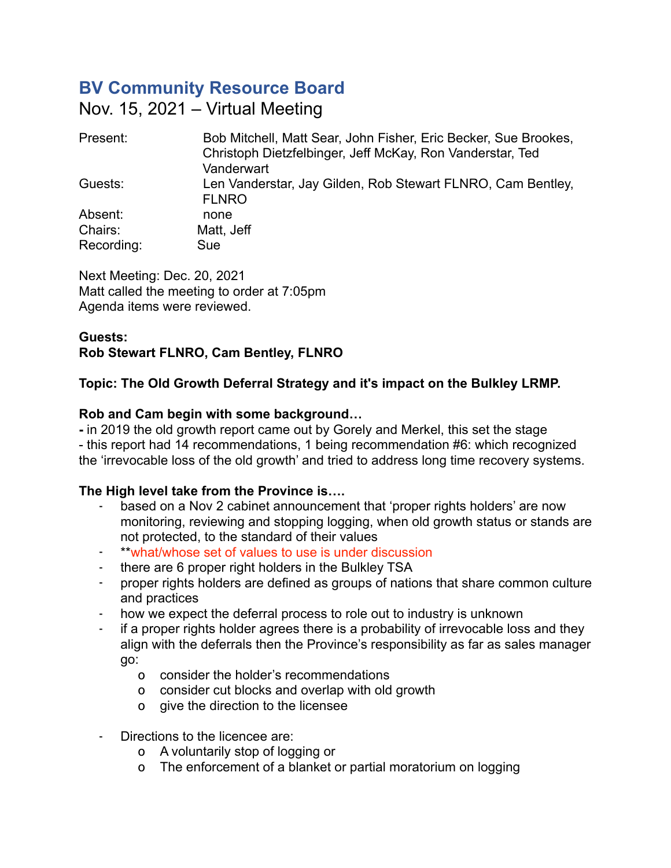# **BV Community Resource Board**

Nov. 15, 2021 – Virtual Meeting

| Present:   | Bob Mitchell, Matt Sear, John Fisher, Eric Becker, Sue Brookes,<br>Christoph Dietzfelbinger, Jeff McKay, Ron Vanderstar, Ted<br>Vanderwart |
|------------|--------------------------------------------------------------------------------------------------------------------------------------------|
| Guests:    | Len Vanderstar, Jay Gilden, Rob Stewart FLNRO, Cam Bentley,<br><b>FLNRO</b>                                                                |
| Absent:    | none                                                                                                                                       |
| Chairs:    | Matt, Jeff                                                                                                                                 |
| Recording: | Sue                                                                                                                                        |

Next Meeting: Dec. 20, 2021 Matt called the meeting to order at 7:05pm Agenda items were reviewed.

# **Guests: Rob Stewart FLNRO, Cam Bentley, FLNRO**

# **Topic: The Old Growth Deferral Strategy and it's impact on the Bulkley LRMP.**

# **Rob and Cam begin with some background…**

**-** in 2019 the old growth report came out by Gorely and Merkel, this set the stage - this report had 14 recommendations, 1 being recommendation #6: which recognized the 'irrevocable loss of the old growth' and tried to address long time recovery systems.

# **The High level take from the Province is….**

- based on a Nov 2 cabinet announcement that 'proper rights holders' are now monitoring, reviewing and stopping logging, when old growth status or stands are not protected, to the standard of their values
- \*\*what/whose set of values to use is under discussion
- there are 6 proper right holders in the Bulkley TSA<br>- orner rights holders are defined as groups of nation-
- proper rights holders are defined as groups of nations that share common culture and practices
- how we expect the deferral process to role out to industry is unknown
- if a proper rights holder agrees there is a probability of irrevocable loss and they align with the deferrals then the Province's responsibility as far as sales manager go:
	- o consider the holder's recommendations
	- o consider cut blocks and overlap with old growth
	- o give the direction to the licensee
- Directions to the licencee are:
	- o A voluntarily stop of logging or
	- o The enforcement of a blanket or partial moratorium on logging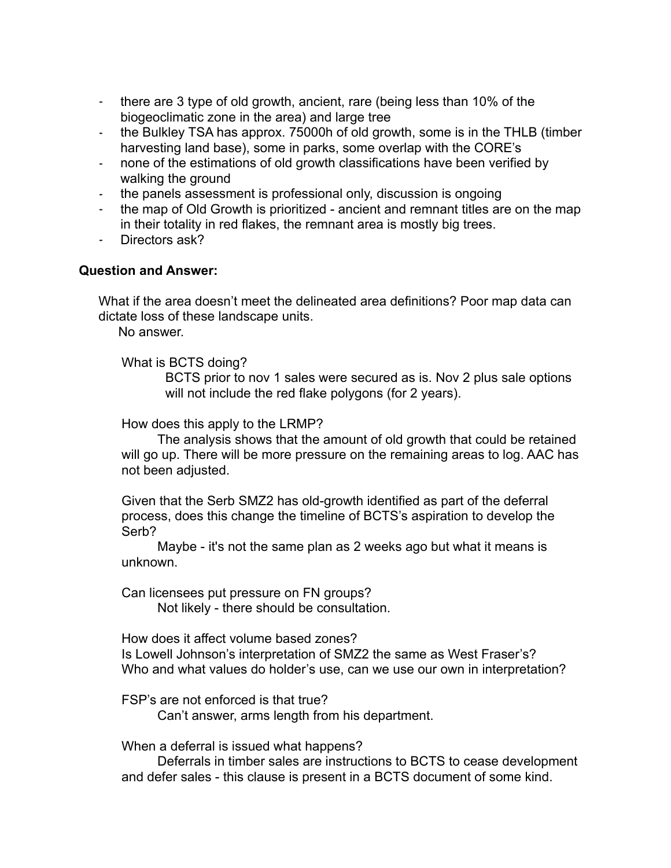- there are 3 type of old growth, ancient, rare (being less than 10% of the biogeoclimatic zone in the area) and large tree
- the Bulkley TSA has approx. 75000h of old growth, some is in the THLB (timber harvesting land base), some in parks, some overlap with the CORE's
- none of the estimations of old growth classifications have been verified by walking the ground
- the panels assessment is professional only, discussion is ongoing
- the map of Old Growth is prioritized ancient and remnant titles are on the map in their totality in red flakes, the remnant area is mostly big trees.
- Directors ask?

#### **Question and Answer:**

What if the area doesn't meet the delineated area definitions? Poor map data can dictate loss of these landscape units.

No answer.

What is BCTS doing?

BCTS prior to nov 1 sales were secured as is. Nov 2 plus sale options will not include the red flake polygons (for 2 years).

How does this apply to the LRMP?

 The analysis shows that the amount of old growth that could be retained will go up. There will be more pressure on the remaining areas to log. AAC has not been adjusted.

Given that the Serb SMZ2 has old-growth identified as part of the deferral process, does this change the timeline of BCTS's aspiration to develop the Serb?

 Maybe - it's not the same plan as 2 weeks ago but what it means is unknown.

Can licensees put pressure on FN groups?

Not likely - there should be consultation.

How does it affect volume based zones? Is Lowell Johnson's interpretation of SMZ2 the same as West Fraser's? Who and what values do holder's use, can we use our own in interpretation?

FSP's are not enforced is that true?

Can't answer, arms length from his department.

When a deferral is issued what happens?

 Deferrals in timber sales are instructions to BCTS to cease development and defer sales - this clause is present in a BCTS document of some kind.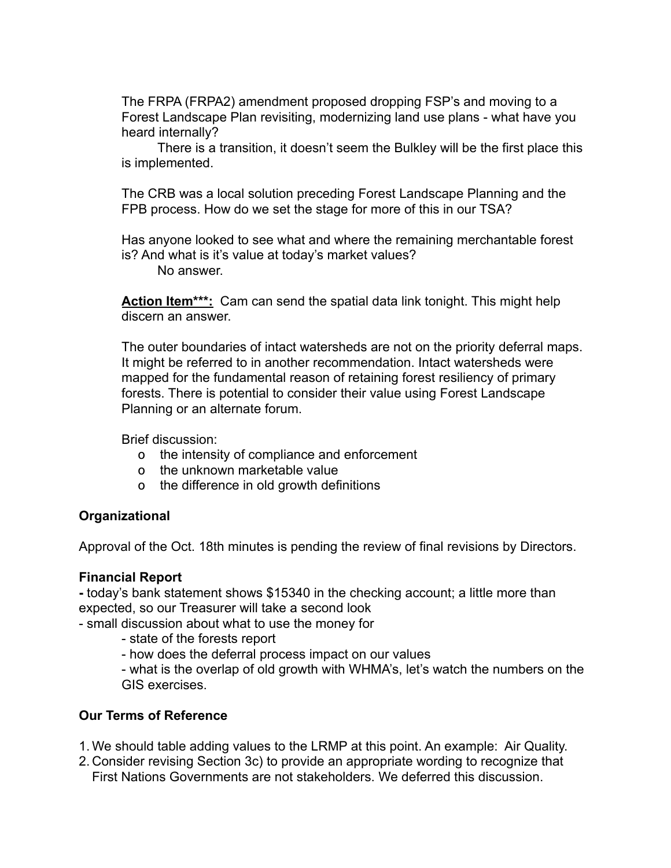The FRPA (FRPA2) amendment proposed dropping FSP's and moving to a Forest Landscape Plan revisiting, modernizing land use plans - what have you heard internally?

 There is a transition, it doesn't seem the Bulkley will be the first place this is implemented.

The CRB was a local solution preceding Forest Landscape Planning and the FPB process. How do we set the stage for more of this in our TSA?

Has anyone looked to see what and where the remaining merchantable forest is? And what is it's value at today's market values?

No answer.

**Action Item\*\*\*:** Cam can send the spatial data link tonight. This might help discern an answer.

The outer boundaries of intact watersheds are not on the priority deferral maps. It might be referred to in another recommendation. Intact watersheds were mapped for the fundamental reason of retaining forest resiliency of primary forests. There is potential to consider their value using Forest Landscape Planning or an alternate forum.

Brief discussion:

- o the intensity of compliance and enforcement
- o the unknown marketable value
- o the difference in old growth definitions

# **Organizational**

Approval of the Oct. 18th minutes is pending the review of final revisions by Directors.

#### **Financial Report**

**-** today's bank statement shows \$15340 in the checking account; a little more than expected, so our Treasurer will take a second look

- small discussion about what to use the money for

- state of the forests report

- how does the deferral process impact on our values

- what is the overlap of old growth with WHMA's, let's watch the numbers on the GIS exercises.

# **Our Terms of Reference**

- 1. We should table adding values to the LRMP at this point. An example: Air Quality.
- 2. Consider revising Section 3c) to provide an appropriate wording to recognize that First Nations Governments are not stakeholders. We deferred this discussion.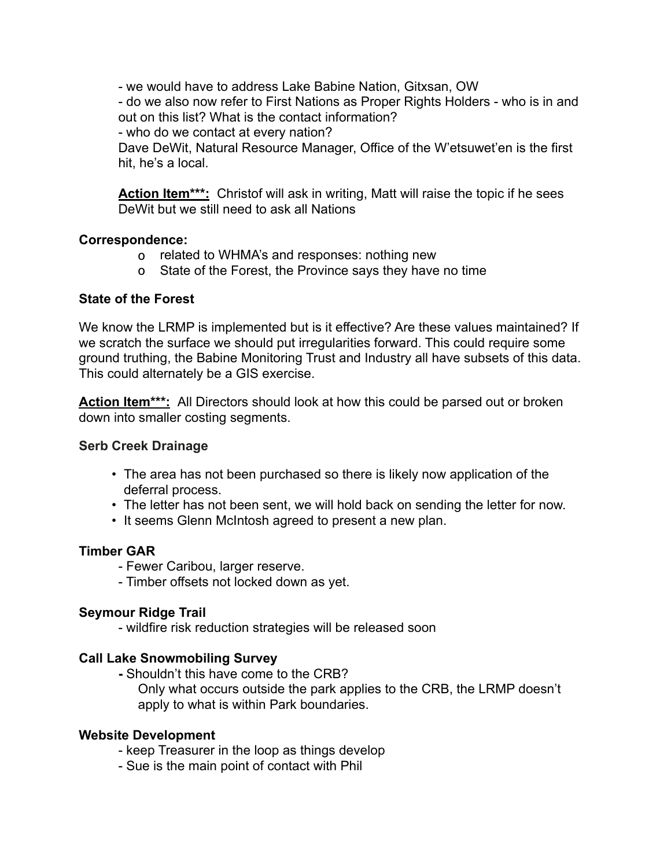- we would have to address Lake Babine Nation, Gitxsan, OW

- do we also now refer to First Nations as Proper Rights Holders - who is in and out on this list? What is the contact information?

- who do we contact at every nation?

Dave DeWit, Natural Resource Manager, Office of the W'etsuwet'en is the first hit, he's a local.

Action Item<sup>\*\*\*</sup>: Christof will ask in writing, Matt will raise the topic if he sees DeWit but we still need to ask all Nations

## **Correspondence:**

- o related to WHMA's and responses: nothing new
- o State of the Forest, the Province says they have no time

## **State of the Forest**

We know the LRMP is implemented but is it effective? Are these values maintained? If we scratch the surface we should put irregularities forward. This could require some ground truthing, the Babine Monitoring Trust and Industry all have subsets of this data. This could alternately be a GIS exercise.

**Action Item\*\*\*:** All Directors should look at how this could be parsed out or broken down into smaller costing segments.

#### **Serb Creek Drainage**

- The area has not been purchased so there is likely now application of the deferral process.
- The letter has not been sent, we will hold back on sending the letter for now.
- It seems Glenn McIntosh agreed to present a new plan.

# **Timber GAR**

- Fewer Caribou, larger reserve.
- Timber offsets not locked down as yet.

#### **Seymour Ridge Trail**

- wildfire risk reduction strategies will be released soon

# **Call Lake Snowmobiling Survey**

- **-** Shouldn't this have come to the CRB?
	- Only what occurs outside the park applies to the CRB, the LRMP doesn't apply to what is within Park boundaries.

#### **Website Development**

- keep Treasurer in the loop as things develop
- Sue is the main point of contact with Phil